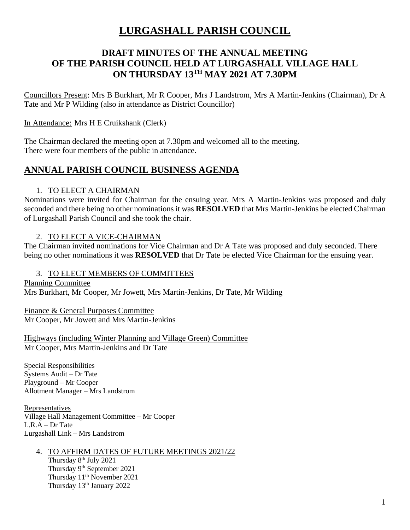# **LURGASHALL PARISH COUNCIL**

## **DRAFT MINUTES OF THE ANNUAL MEETING OF THE PARISH COUNCIL HELD AT LURGASHALL VILLAGE HALL ON THURSDAY 13 TH MAY 2021 AT 7.30PM**

Councillors Present: Mrs B Burkhart, Mr R Cooper, Mrs J Landstrom, Mrs A Martin-Jenkins (Chairman), Dr A Tate and Mr P Wilding (also in attendance as District Councillor)

In Attendance: Mrs H E Cruikshank (Clerk)

The Chairman declared the meeting open at 7.30pm and welcomed all to the meeting. There were four members of the public in attendance.

## **ANNUAL PARISH COUNCIL BUSINESS AGENDA**

### 1. TO ELECT A CHAIRMAN

Nominations were invited for Chairman for the ensuing year. Mrs A Martin-Jenkins was proposed and duly seconded and there being no other nominations it was **RESOLVED** that Mrs Martin-Jenkins be elected Chairman of Lurgashall Parish Council and she took the chair.

### 2. TO ELECT A VICE-CHAIRMAN

The Chairman invited nominations for Vice Chairman and Dr A Tate was proposed and duly seconded. There being no other nominations it was **RESOLVED** that Dr Tate be elected Vice Chairman for the ensuing year.

#### 3. TO ELECT MEMBERS OF COMMITTEES

Planning Committee Mrs Burkhart, Mr Cooper, Mr Jowett, Mrs Martin-Jenkins, Dr Tate, Mr Wilding

Finance & General Purposes Committee Mr Cooper, Mr Jowett and Mrs Martin-Jenkins

Highways (including Winter Planning and Village Green) Committee Mr Cooper, Mrs Martin-Jenkins and Dr Tate

Special Responsibilities Systems Audit – Dr Tate Playground – Mr Cooper Allotment Manager – Mrs Landstrom

Representatives Village Hall Management Committee – Mr Cooper L.R.A – Dr.Tate Lurgashall Link – Mrs Landstrom

#### 4. TO AFFIRM DATES OF FUTURE MEETINGS 2021/22 Thursday 8<sup>th</sup> July 2021 Thursday 9<sup>th</sup> September 2021 Thursday 11<sup>th</sup> November 2021 Thursday 13th January 2022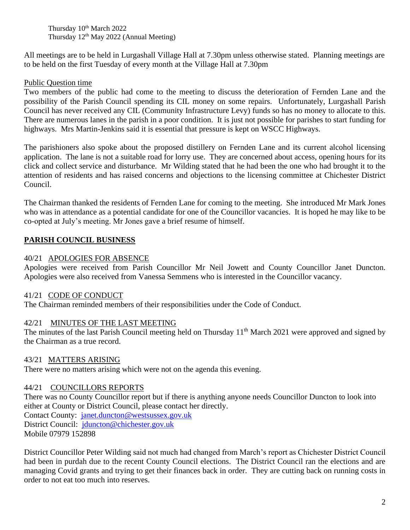Thursday 10<sup>th</sup> March 2022 Thursday  $12<sup>th</sup>$  May 2022 (Annual Meeting)

All meetings are to be held in Lurgashall Village Hall at 7.30pm unless otherwise stated. Planning meetings are to be held on the first Tuesday of every month at the Village Hall at 7.30pm

### Public Question time

Two members of the public had come to the meeting to discuss the deterioration of Fernden Lane and the possibility of the Parish Council spending its CIL money on some repairs. Unfortunately, Lurgashall Parish Council has never received any CIL (Community Infrastructure Levy) funds so has no money to allocate to this. There are numerous lanes in the parish in a poor condition. It is just not possible for parishes to start funding for highways. Mrs Martin-Jenkins said it is essential that pressure is kept on WSCC Highways.

The parishioners also spoke about the proposed distillery on Fernden Lane and its current alcohol licensing application. The lane is not a suitable road for lorry use. They are concerned about access, opening hours for its click and collect service and disturbance. Mr Wilding stated that he had been the one who had brought it to the attention of residents and has raised concerns and objections to the licensing committee at Chichester District Council.

The Chairman thanked the residents of Fernden Lane for coming to the meeting. She introduced Mr Mark Jones who was in attendance as a potential candidate for one of the Councillor vacancies. It is hoped he may like to be co-opted at July's meeting. Mr Jones gave a brief resume of himself.

## **PARISH COUNCIL BUSINESS**

### 40/21 APOLOGIES FOR ABSENCE

Apologies were received from Parish Councillor Mr Neil Jowett and County Councillor Janet Duncton. Apologies were also received from Vanessa Semmens who is interested in the Councillor vacancy.

### 41/21 CODE OF CONDUCT

The Chairman reminded members of their responsibilities under the Code of Conduct.

## 42/21 MINUTES OF THE LAST MEETING

The minutes of the last Parish Council meeting held on Thursday 11<sup>th</sup> March 2021 were approved and signed by the Chairman as a true record.

### 43/21 MATTERS ARISING

There were no matters arising which were not on the agenda this evening.

## 44/21 COUNCILLORS REPORTS

There was no County Councillor report but if there is anything anyone needs Councillor Duncton to look into either at County or District Council, please contact her directly. Contact County: [janet.duncton@westsussex.gov.uk](https://webmail.function28.co.uk/mail/compose?to=janet.duncton@westsussex.gov.uk) District Council: [jduncton@chichester.gov.uk](https://webmail.function28.co.uk/mail/compose?to=jduncton@chichester.gov.uk) Mobile 07979 152898

District Councillor Peter Wilding said not much had changed from March's report as Chichester District Council had been in purdah due to the recent County Council elections. The District Council ran the elections and are managing Covid grants and trying to get their finances back in order. They are cutting back on running costs in order to not eat too much into reserves.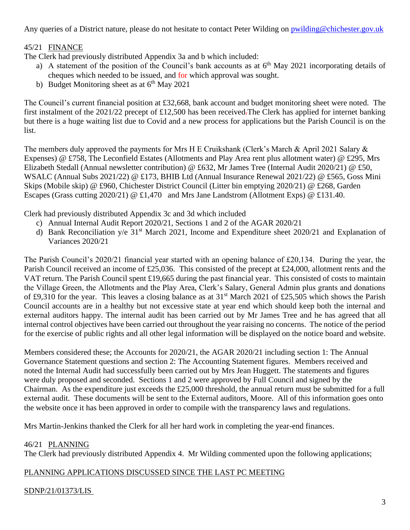Any queries of a District nature, please do not hesitate to contact Peter Wilding on [pwilding@chichester.gov.uk](mailto:pwilding@chichester.gov.uk)

### 45/21 FINANCE

The Clerk had previously distributed Appendix 3a and b which included:

- a) A statement of the position of the Council's bank accounts as at  $6<sup>th</sup>$  May 2021 incorporating details of cheques which needed to be issued, and for which approval was sought.
- b) Budget Monitoring sheet as at  $6<sup>th</sup>$  May 2021

The Council's current financial position at £32,668, bank account and budget monitoring sheet were noted. The first instalment of the 2021/22 precept of £12,500 has been received.The Clerk has applied for internet banking but there is a huge waiting list due to Covid and a new process for applications but the Parish Council is on the list.

The members duly approved the payments for Mrs H E Cruikshank (Clerk's March & April 2021 Salary & Expenses) @ £758, The Leconfield Estates (Allotments and Play Area rent plus allotment water) @ £295, Mrs Elizabeth Stedall (Annual newsletter contribution) @ £632, Mr James Tree (Internal Audit 2020/21) @ £50, WSALC (Annual Subs 2021/22) @ £173, BHIB Ltd (Annual Insurance Renewal 2021/22) @ £565, Goss Mini Skips (Mobile skip) @ £960, Chichester District Council (Litter bin emptying 2020/21) @ £268, Garden Escapes (Grass cutting 2020/21) @ £1,470 and Mrs Jane Landstrom (Allotment Exps) @ £131.40.

Clerk had previously distributed Appendix 3c and 3d which included

- c) Annual Internal Audit Report 2020/21, Sections 1 and 2 of the AGAR 2020/21
- d) Bank Reconciliation y/e 31<sup>st</sup> March 2021, Income and Expenditure sheet 2020/21 and Explanation of Variances 2020/21

The Parish Council's 2020/21 financial year started with an opening balance of £20,134. During the year, the Parish Council received an income of £25,036. This consisted of the precept at £24,000, allotment rents and the VAT return. The Parish Council spent £19,665 during the past financial year. This consisted of costs to maintain the Village Green, the Allotments and the Play Area, Clerk's Salary, General Admin plus grants and donations of £9,310 for the year. This leaves a closing balance as at 31st March 2021 of £25,505 which shows the Parish Council accounts are in a healthy but not excessive state at year end which should keep both the internal and external auditors happy. The internal audit has been carried out by Mr James Tree and he has agreed that all internal control objectives have been carried out throughout the year raising no concerns. The notice of the period for the exercise of public rights and all other legal information will be displayed on the notice board and website.

Members considered these; the Accounts for 2020/21, the AGAR 2020/21 including section 1: The Annual Governance Statement questions and section 2: The Accounting Statement figures. Members received and noted the Internal Audit had successfully been carried out by Mrs Jean Huggett. The statements and figures were duly proposed and seconded. Sections 1 and 2 were approved by Full Council and signed by the Chairman. As the expenditure just exceeds the £25,000 threshold, the annual return must be submitted for a full external audit. These documents will be sent to the External auditors, Moore. All of this information goes onto the website once it has been approved in order to compile with the transparency laws and regulations.

Mrs Martin-Jenkins thanked the Clerk for all her hard work in completing the year-end finances.

## 46/21 PLANNING

The Clerk had previously distributed Appendix 4. Mr Wilding commented upon the following applications;

### PLANNING APPLICATIONS DISCUSSED SINCE THE LAST PC MEETING

### SDNP/21/01373/LIS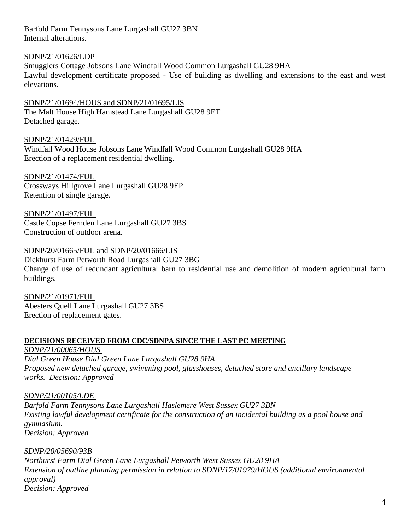Barfold Farm Tennysons Lane Lurgashall GU27 3BN Internal alterations.

### SDNP/21/01626/LDP

Smugglers Cottage Jobsons Lane Windfall Wood Common Lurgashall GU28 9HA Lawful development certificate proposed - Use of building as dwelling and extensions to the east and west elevations.

SDNP/21/01694/HOUS and SDNP/21/01695/LIS The Malt House High Hamstead Lane Lurgashall GU28 9ET Detached garage.

SDNP/21/01429/FUL Windfall Wood House Jobsons Lane Windfall Wood Common Lurgashall GU28 9HA Erection of a replacement residential dwelling.

SDNP/21/01474/FUL Crossways Hillgrove Lane Lurgashall GU28 9EP Retention of single garage.

SDNP/21/01497/FUL Castle Copse Fernden Lane Lurgashall GU27 3BS Construction of outdoor arena.

### SDNP/20/01665/FUL and SDNP/20/01666/LIS

Dickhurst Farm Petworth Road Lurgashall GU27 3BG Change of use of redundant agricultural barn to residential use and demolition of modern agricultural farm buildings.

SDNP/21/01971/FUL Abesters Quell Lane Lurgashall GU27 3BS Erection of replacement gates.

### **DECISIONS RECEIVED FROM CDC/SDNPA SINCE THE LAST PC MEETING**

*SDNP/21/00065/HOUS Dial Green House Dial Green Lane Lurgashall GU28 9HA Proposed new detached garage, swimming pool, glasshouses, detached store and ancillary landscape works. Decision: Approved*

*SDNP/21/00105/LDE Barfold Farm Tennysons Lane Lurgashall Haslemere West Sussex GU27 3BN Existing lawful development certificate for the construction of an incidental building as a pool house and gymnasium. Decision: Approved*

*SDNP/20/05690/93B*

*Northurst Farm Dial Green Lane Lurgashall Petworth West Sussex GU28 9HA Extension of outline planning permission in relation to SDNP/17/01979/HOUS (additional environmental approval) Decision: Approved*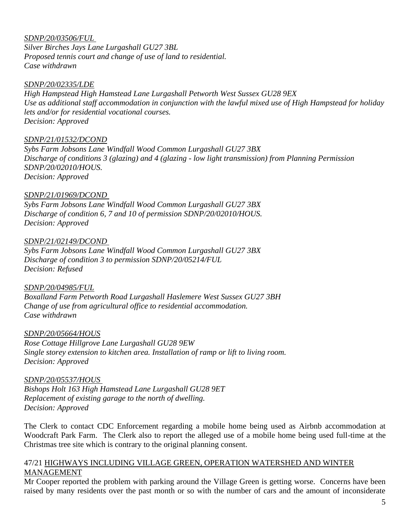### *SDNP/20/03506/FUL*

*Silver Birches Jays Lane Lurgashall GU27 3BL Proposed tennis court and change of use of land to residential. Case withdrawn*

#### *SDNP/20/02335/LDE*

*High Hampstead High Hamstead Lane Lurgashall Petworth West Sussex GU28 9EX Use as additional staff accommodation in conjunction with the lawful mixed use of High Hampstead for holiday lets and/or for residential vocational courses. Decision: Approved*

#### *SDNP/21/01532/DCOND*

*Sybs Farm Jobsons Lane Windfall Wood Common Lurgashall GU27 3BX Discharge of conditions 3 (glazing) and 4 (glazing - low light transmission) from Planning Permission SDNP/20/02010/HOUS. Decision: Approved*

### *SDNP/21/01969/DCOND*

*Sybs Farm Jobsons Lane Windfall Wood Common Lurgashall GU27 3BX Discharge of condition 6, 7 and 10 of permission SDNP/20/02010/HOUS. Decision: Approved*

#### *SDNP/21/02149/DCOND*

*Sybs Farm Jobsons Lane Windfall Wood Common Lurgashall GU27 3BX Discharge of condition 3 to permission SDNP/20/05214/FUL Decision: Refused*

#### *SDNP/20/04985/FUL*

*Boxalland Farm Petworth Road Lurgashall Haslemere West Sussex GU27 3BH Change of use from agricultural office to residential accommodation. Case withdrawn*

#### *SDNP/20/05664/HOUS*

*Rose Cottage Hillgrove Lane Lurgashall GU28 9EW Single storey extension to kitchen area. Installation of ramp or lift to living room. Decision: Approved*

#### *SDNP/20/05537/HOUS*

*Bishops Holt 163 High Hamstead Lane Lurgashall GU28 9ET Replacement of existing garage to the north of dwelling. Decision: Approved*

The Clerk to contact CDC Enforcement regarding a mobile home being used as Airbnb accommodation at Woodcraft Park Farm. The Clerk also to report the alleged use of a mobile home being used full-time at the Christmas tree site which is contrary to the original planning consent.

#### 47/21 HIGHWAYS INCLUDING VILLAGE GREEN, OPERATION WATERSHED AND WINTER MANAGEMENT

Mr Cooper reported the problem with parking around the Village Green is getting worse. Concerns have been raised by many residents over the past month or so with the number of cars and the amount of inconsiderate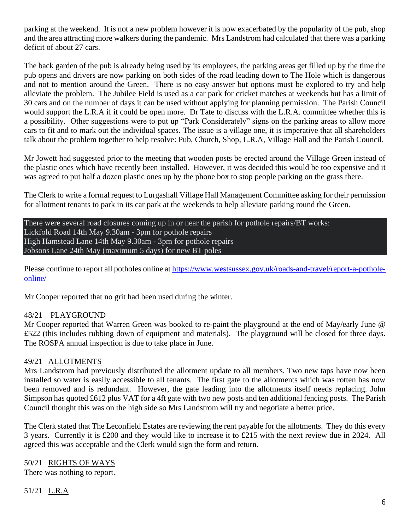parking at the weekend. It is not a new problem however it is now exacerbated by the popularity of the pub, shop and the area attracting more walkers during the pandemic. Mrs Landstrom had calculated that there was a parking deficit of about 27 cars.

The back garden of the pub is already being used by its employees, the parking areas get filled up by the time the pub opens and drivers are now parking on both sides of the road leading down to The Hole which is dangerous and not to mention around the Green. There is no easy answer but options must be explored to try and help alleviate the problem. The Jubilee Field is used as a car park for cricket matches at weekends but has a limit of 30 cars and on the number of days it can be used without applying for planning permission. The Parish Council would support the L.R.A if it could be open more. Dr Tate to discuss with the L.R.A. committee whether this is a possibility. Other suggestions were to put up "Park Considerately" signs on the parking areas to allow more cars to fit and to mark out the individual spaces. The issue is a village one, it is imperative that all shareholders talk about the problem together to help resolve: Pub, Church, Shop, L.R.A, Village Hall and the Parish Council.

Mr Jowett had suggested prior to the meeting that wooden posts be erected around the Village Green instead of the plastic ones which have recently been installed. However, it was decided this would be too expensive and it was agreed to put half a dozen plastic ones up by the phone box to stop people parking on the grass there.

The Clerk to write a formal request to Lurgashall Village Hall Management Committee asking for their permission for allotment tenants to park in its car park at the weekends to help alleviate parking round the Green.

There were several road closures coming up in or near the parish for pothole repairs/BT works: Lickfold Road 14th May 9.30am - 3pm for pothole repairs High Hamstead Lane 14th May 9.30am - 3pm for pothole repairs Jobsons Lane 24th May (maximum 5 days) for new BT poles

Please continue to report all potholes online at [https://www.westsussex.gov.uk/roads-and-travel/report-a-pothole](https://www.westsussex.gov.uk/roads-and-travel/report-a-pothole-online/)[online/](https://www.westsussex.gov.uk/roads-and-travel/report-a-pothole-online/)

Mr Cooper reported that no grit had been used during the winter.

#### 48/21 PLAYGROUND

Mr Cooper reported that Warren Green was booked to re-paint the playground at the end of May/early June @ £522 (this includes rubbing down of equipment and materials). The playground will be closed for three days. The ROSPA annual inspection is due to take place in June.

#### 49/21 ALLOTMENTS

Mrs Landstrom had previously distributed the allotment update to all members. Two new taps have now been installed so water is easily accessible to all tenants. The first gate to the allotments which was rotten has now been removed and is redundant. However, the gate leading into the allotments itself needs replacing. John Simpson has quoted £612 plus VAT for a 4ft gate with two new posts and ten additional fencing posts. The Parish Council thought this was on the high side so Mrs Landstrom will try and negotiate a better price.

The Clerk stated that The Leconfield Estates are reviewing the rent payable for the allotments. They do this every 3 years. Currently it is £200 and they would like to increase it to £215 with the next review due in 2024. All agreed this was acceptable and the Clerk would sign the form and return.

50/21 RIGHTS OF WAYS There was nothing to report.

51/21 L.R.A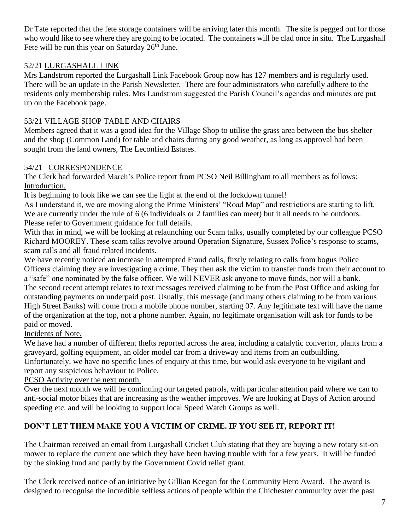Dr Tate reported that the fete storage containers will be arriving later this month. The site is pegged out for those who would like to see where they are going to be located. The containers will be clad once in situ. The Lurgashall Fete will be run this year on Saturday  $26<sup>th</sup>$  June.

## 52/21 LURGASHALL LINK

Mrs Landstrom reported the Lurgashall Link Facebook Group now has 127 members and is regularly used. There will be an update in the Parish Newsletter. There are four administrators who carefully adhere to the residents only membership rules. Mrs Landstrom suggested the Parish Council's agendas and minutes are put up on the Facebook page.

## 53/21 VILLAGE SHOP TABLE AND CHAIRS

Members agreed that it was a good idea for the Village Shop to utilise the grass area between the bus shelter and the shop (Common Land) for table and chairs during any good weather, as long as approval had been sought from the land owners, The Leconfield Estates.

## 54/21 CORRESPONDENCE

The Clerk had forwarded March's Police report from PCSO Neil Billingham to all members as follows: Introduction.

It is beginning to look like we can see the light at the end of the lockdown tunnel!

As I understand it, we are moving along the Prime Ministers' "Road Map" and restrictions are starting to lift. We are currently under the rule of 6 (6 individuals or 2 families can meet) but it all needs to be outdoors. Please refer to Government guidance for full details.

With that in mind, we will be looking at relaunching our Scam talks, usually completed by our colleague PCSO Richard MOOREY. These scam talks revolve around Operation Signature, Sussex Police's response to scams, scam calls and all fraud related incidents.

We have recently noticed an increase in attempted Fraud calls, firstly relating to calls from bogus Police Officers claiming they are investigating a crime. They then ask the victim to transfer funds from their account to a "safe" one nominated by the false officer. We will NEVER ask anyone to move funds, nor will a bank. The second recent attempt relates to text messages received claiming to be from the Post Office and asking for outstanding payments on underpaid post. Usually, this message (and many others claiming to be from various High Street Banks) will come from a mobile phone number, starting 07. Any legitimate text will have the name of the organization at the top, not a phone number. Again, no legitimate organisation will ask for funds to be paid or moved.

Incidents of Note.

We have had a number of different thefts reported across the area, including a catalytic convertor, plants from a graveyard, golfing equipment, an older model car from a driveway and items from an outbuilding. Unfortunately, we have no specific lines of enquiry at this time, but would ask everyone to be vigilant and report any suspicious behaviour to Police.

PCSO Activity over the next month.

Over the next month we will be continuing our targeted patrols, with particular attention paid where we can to anti-social motor bikes that are increasing as the weather improves. We are looking at Days of Action around speeding etc. and will be looking to support local Speed Watch Groups as well.

## **DON'T LET THEM MAKE YOU A VICTIM OF CRIME. IF YOU SEE IT, REPORT IT!**

The Chairman received an email from Lurgashall Cricket Club stating that they are buying a new rotary sit-on mower to replace the current one which they have been having trouble with for a few years. It will be funded by the sinking fund and partly by the Government Covid relief grant.

The Clerk received notice of an initiative by Gillian Keegan for the Community Hero Award. The award is designed to recognise the incredible selfless actions of people within the Chichester community over the past